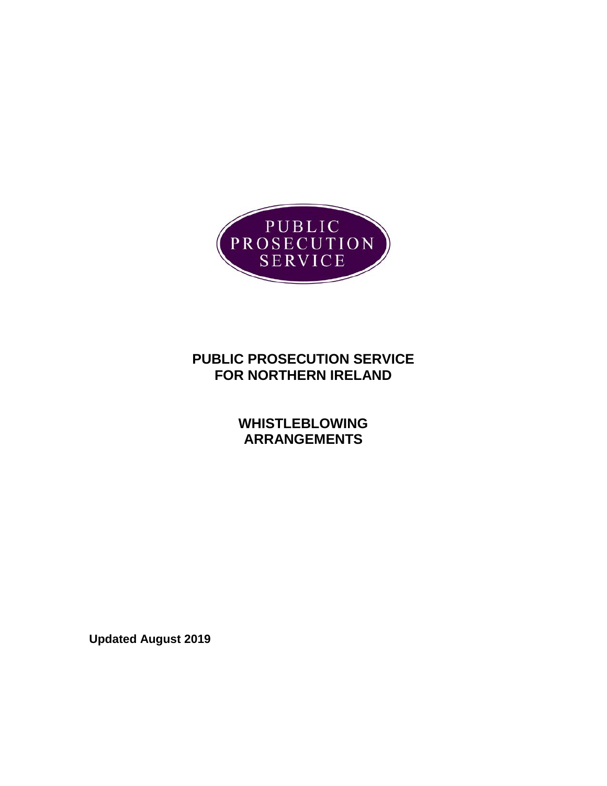

# **PUBLIC PROSECUTION SERVICE FOR NORTHERN IRELAND**

**WHISTLEBLOWING ARRANGEMENTS**

**Updated August 2019**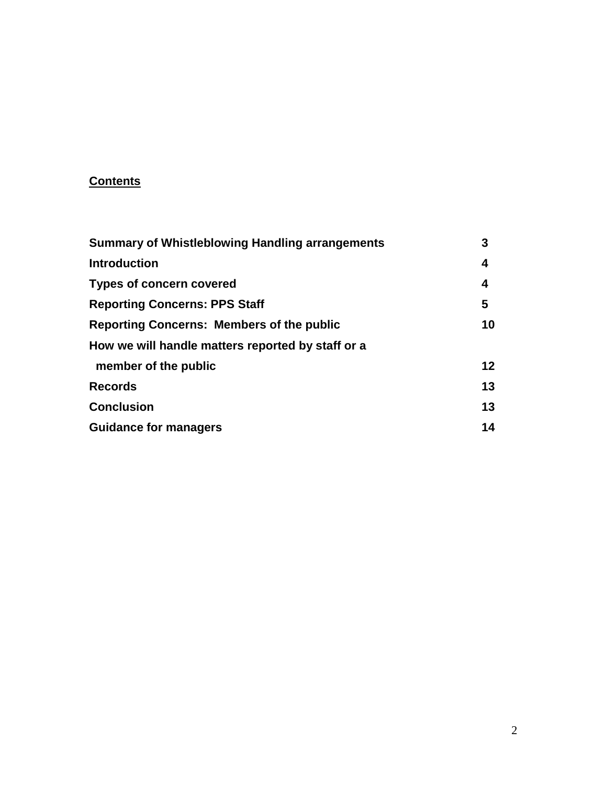## **Contents**

| <b>Summary of Whistleblowing Handling arrangements</b> | 3  |
|--------------------------------------------------------|----|
| <b>Introduction</b>                                    | 4  |
| <b>Types of concern covered</b>                        | 4  |
| <b>Reporting Concerns: PPS Staff</b>                   | 5  |
| <b>Reporting Concerns: Members of the public</b>       | 10 |
| How we will handle matters reported by staff or a      |    |
| member of the public                                   | 12 |
| <b>Records</b>                                         | 13 |
| <b>Conclusion</b>                                      | 13 |
| <b>Guidance for managers</b>                           | 14 |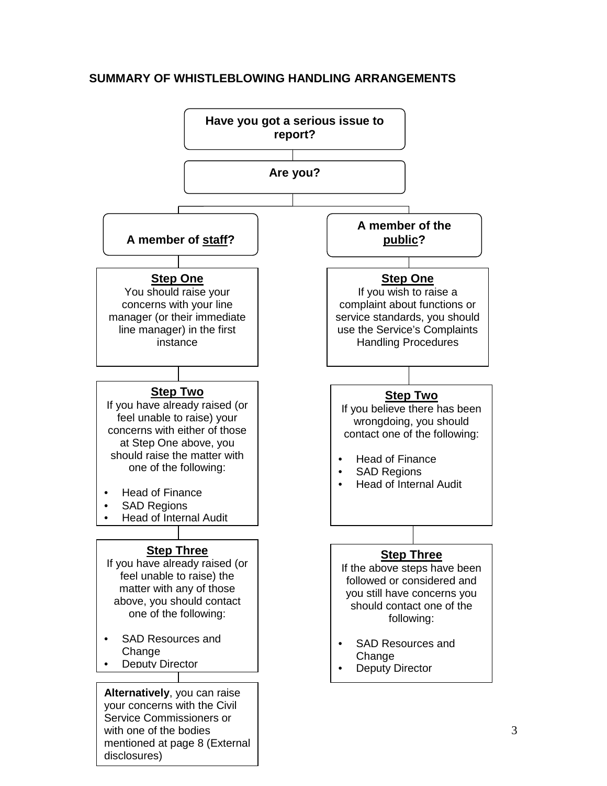

#### **SUMMARY OF WHISTLEBLOWING HANDLING ARRANGEMENTS**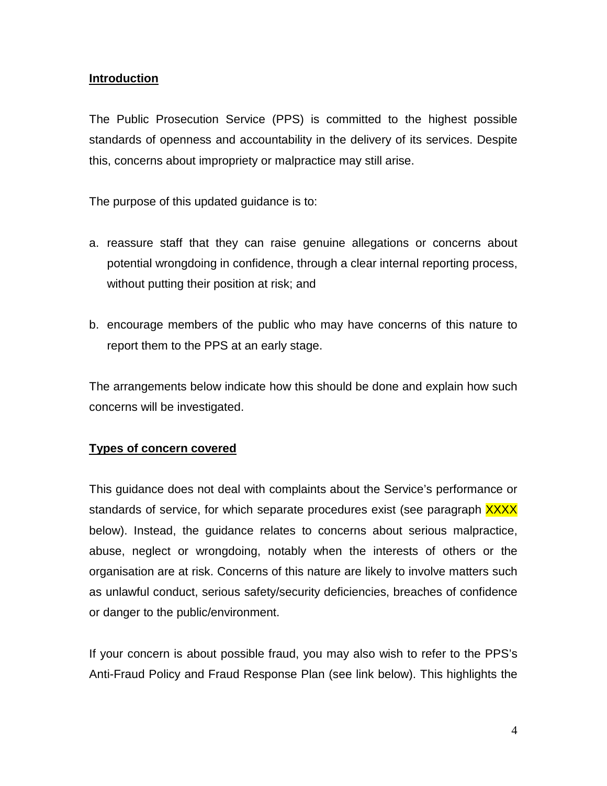### **Introduction**

The Public Prosecution Service (PPS) is committed to the highest possible standards of openness and accountability in the delivery of its services. Despite this, concerns about impropriety or malpractice may still arise.

The purpose of this updated guidance is to:

- a. reassure staff that they can raise genuine allegations or concerns about potential wrongdoing in confidence, through a clear internal reporting process, without putting their position at risk; and
- b. encourage members of the public who may have concerns of this nature to report them to the PPS at an early stage.

The arrangements below indicate how this should be done and explain how such concerns will be investigated.

#### **Types of concern covered**

This guidance does not deal with complaints about the Service's performance or standards of service, for which separate procedures exist (see paragraph XXXX below). Instead, the guidance relates to concerns about serious malpractice, abuse, neglect or wrongdoing, notably when the interests of others or the organisation are at risk. Concerns of this nature are likely to involve matters such as unlawful conduct, serious safety/security deficiencies, breaches of confidence or danger to the public/environment.

If your concern is about possible fraud, you may also wish to refer to the PPS's Anti-Fraud Policy and Fraud Response Plan (see link below). This highlights the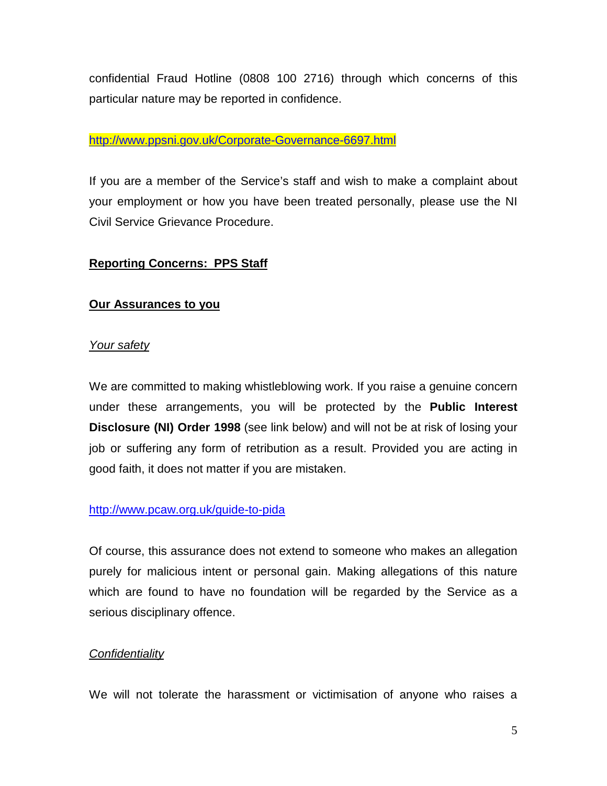confidential Fraud Hotline (0808 100 2716) through which concerns of this particular nature may be reported in confidence.

### <http://www.ppsni.gov.uk/Corporate-Governance-6697.html>

If you are a member of the Service's staff and wish to make a complaint about your employment or how you have been treated personally, please use the NI Civil Service Grievance Procedure.

## **Reporting Concerns: PPS Staff**

## **Our Assurances to you**

## *Your safety*

We are committed to making whistleblowing work. If you raise a genuine concern under these arrangements, you will be protected by the **Public Interest Disclosure (NI) Order 1998** (see link below) and will not be at risk of losing your job or suffering any form of retribution as a result. Provided you are acting in good faith, it does not matter if you are mistaken.

#### <http://www.pcaw.org.uk/guide-to-pida>

Of course, this assurance does not extend to someone who makes an allegation purely for malicious intent or personal gain. Making allegations of this nature which are found to have no foundation will be regarded by the Service as a serious disciplinary offence.

## *Confidentiality*

We will not tolerate the harassment or victimisation of anyone who raises a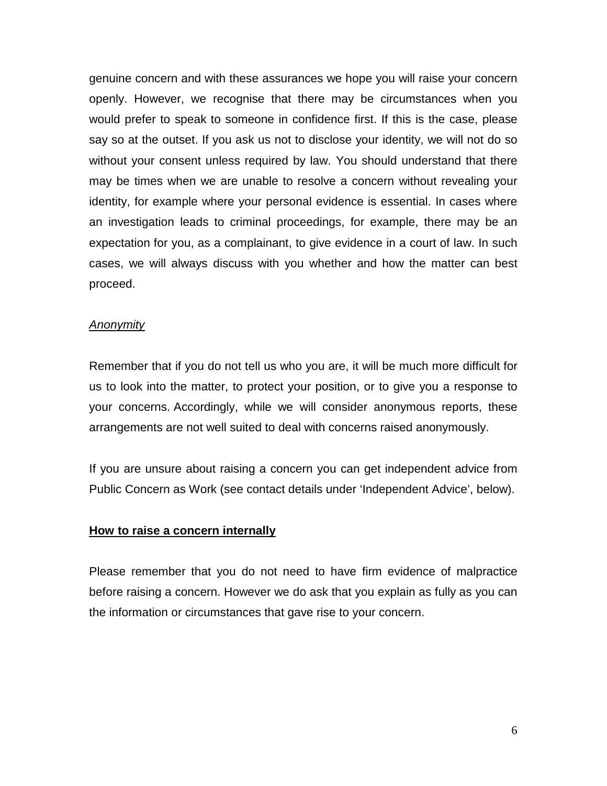genuine concern and with these assurances we hope you will raise your concern openly. However, we recognise that there may be circumstances when you would prefer to speak to someone in confidence first. If this is the case, please say so at the outset. If you ask us not to disclose your identity, we will not do so without your consent unless required by law. You should understand that there may be times when we are unable to resolve a concern without revealing your identity, for example where your personal evidence is essential. In cases where an investigation leads to criminal proceedings, for example, there may be an expectation for you, as a complainant, to give evidence in a court of law. In such cases, we will always discuss with you whether and how the matter can best proceed.

#### *Anonymity*

Remember that if you do not tell us who you are, it will be much more difficult for us to look into the matter, to protect your position, or to give you a response to your concerns. Accordingly, while we will consider anonymous reports, these arrangements are not well suited to deal with concerns raised anonymously.

If you are unsure about raising a concern you can get independent advice from Public Concern as Work (see contact details under 'Independent Advice', below).

#### **How to raise a concern internally**

Please remember that you do not need to have firm evidence of malpractice before raising a concern. However we do ask that you explain as fully as you can the information or circumstances that gave rise to your concern.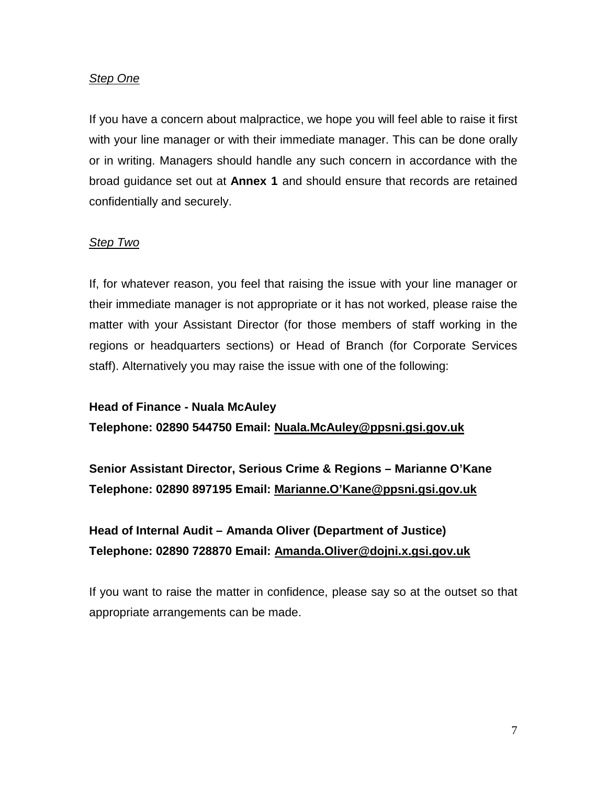### *Step One*

If you have a concern about malpractice, we hope you will feel able to raise it first with your line manager or with their immediate manager. This can be done orally or in writing. Managers should handle any such concern in accordance with the broad guidance set out at **Annex 1** and should ensure that records are retained confidentially and securely.

#### *Step Two*

If, for whatever reason, you feel that raising the issue with your line manager or their immediate manager is not appropriate or it has not worked, please raise the matter with your Assistant Director (for those members of staff working in the regions or headquarters sections) or Head of Branch (for Corporate Services staff). Alternatively you may raise the issue with one of the following:

#### **Head of Finance - Nuala McAuley**

**Telephone: 02890 544750 Email: [Nuala.McAuley@ppsni.gsi.gov.uk](mailto:Nuala.McAuley@ppsni.gsi.gov.uk)**

**Senior Assistant Director, Serious Crime & Regions – Marianne O'Kane Telephone: 02890 897195 Email: Marianne.O'Kane@ppsni.gsi.gov.uk**

## **Head of Internal Audit – Amanda Oliver (Department of Justice) Telephone: 02890 728870 Email: Amanda.Oliver@dojni.x.gsi.gov.uk**

If you want to raise the matter in confidence, please say so at the outset so that appropriate arrangements can be made.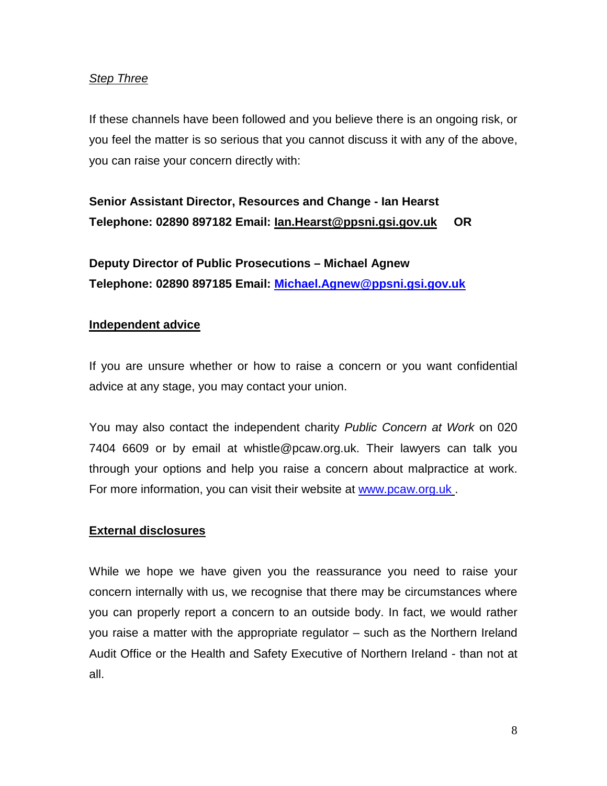## *Step Three*

If these channels have been followed and you believe there is an ongoing risk, or you feel the matter is so serious that you cannot discuss it with any of the above, you can raise your concern directly with:

# **Senior Assistant Director, Resources and Change - Ian Hearst Telephone: 02890 897182 Email: Ian.Hearst@ppsni.gsi.gov.uk OR**

**Deputy Director of Public Prosecutions – Michael Agnew Telephone: 02890 897185 Email: [Michael.Agnew@ppsni.gsi.gov.uk](mailto:Michael.Agnew@ppsni.gsi.gov.uk)**

## **Independent advice**

If you are unsure whether or how to raise a concern or you want confidential advice at any stage, you may contact your union.

You may also contact the independent charity *Public Concern at Work* on 020 7404 6609 or by email at whistle@pcaw.org.uk. Their lawyers can talk you through your options and help you raise a concern about malpractice at work. For more information, you can visit their website at [www.pcaw.org.uk](http://www.pcaw.org.uk/).

## **External disclosures**

While we hope we have given you the reassurance you need to raise your concern internally with us, we recognise that there may be circumstances where you can properly report a concern to an outside body. In fact, we would rather you raise a matter with the appropriate regulator – such as the Northern Ireland Audit Office or the Health and Safety Executive of Northern Ireland - than not at all.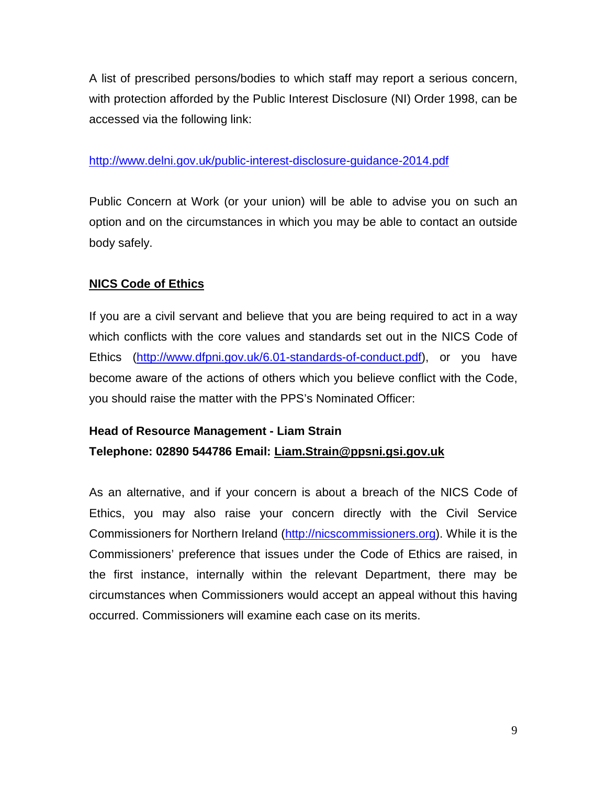A list of prescribed persons/bodies to which staff may report a serious concern, with protection afforded by the Public Interest Disclosure (NI) Order 1998, can be accessed via the following link:

## <http://www.delni.gov.uk/public-interest-disclosure-guidance-2014.pdf>

Public Concern at Work (or your union) will be able to advise you on such an option and on the circumstances in which you may be able to contact an outside body safely.

## **NICS Code of Ethics**

If you are a civil servant and believe that you are being required to act in a way which conflicts with the core values and standards set out in the NICS Code of Ethics [\(http://www.dfpni.gov.uk/6.01-standards-of-conduct.pdf\)](http://www.dfpni.gov.uk/6.01-standards-of-conduct.pdf), or you have become aware of the actions of others which you believe conflict with the Code, you should raise the matter with the PPS's Nominated Officer:

## **Head of Resource Management - Liam Strain Telephone: 02890 544786 Email: [Liam.Strain@ppsni.gsi.gov.uk](mailto:Liam.Strain@ppsni.gsi.gov.uk)**

As an alternative, and if your concern is about a breach of the NICS Code of Ethics, you may also raise your concern directly with the Civil Service Commissioners for Northern Ireland [\(http://nicscommissioners.org\)](http://nicscommissioners.org/). While it is the Commissioners' preference that issues under the Code of Ethics are raised, in the first instance, internally within the relevant Department, there may be circumstances when Commissioners would accept an appeal without this having occurred. Commissioners will examine each case on its merits.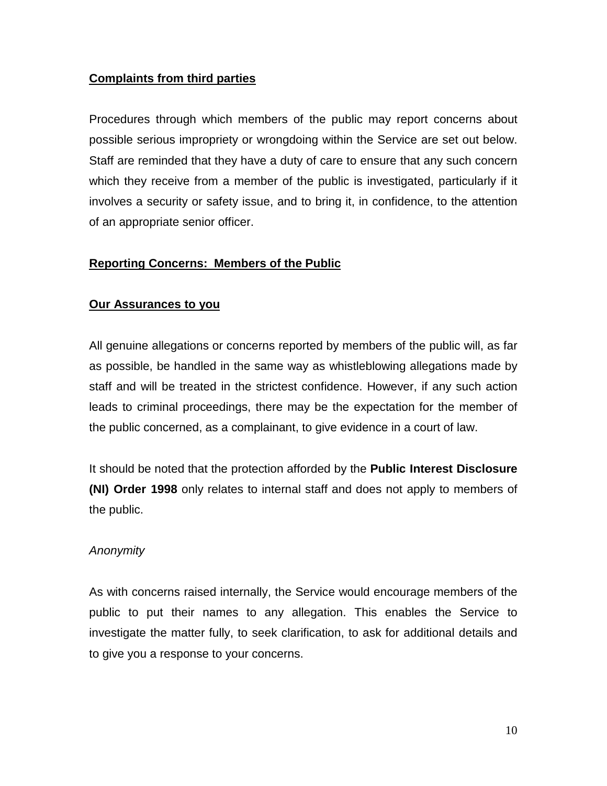## **Complaints from third parties**

Procedures through which members of the public may report concerns about possible serious impropriety or wrongdoing within the Service are set out below. Staff are reminded that they have a duty of care to ensure that any such concern which they receive from a member of the public is investigated, particularly if it involves a security or safety issue, and to bring it, in confidence, to the attention of an appropriate senior officer.

## **Reporting Concerns: Members of the Public**

## **Our Assurances to you**

All genuine allegations or concerns reported by members of the public will, as far as possible, be handled in the same way as whistleblowing allegations made by staff and will be treated in the strictest confidence. However, if any such action leads to criminal proceedings, there may be the expectation for the member of the public concerned, as a complainant, to give evidence in a court of law.

It should be noted that the protection afforded by the **Public Interest Disclosure (NI) Order 1998** only relates to internal staff and does not apply to members of the public.

## *Anonymity*

As with concerns raised internally, the Service would encourage members of the public to put their names to any allegation. This enables the Service to investigate the matter fully, to seek clarification, to ask for additional details and to give you a response to your concerns.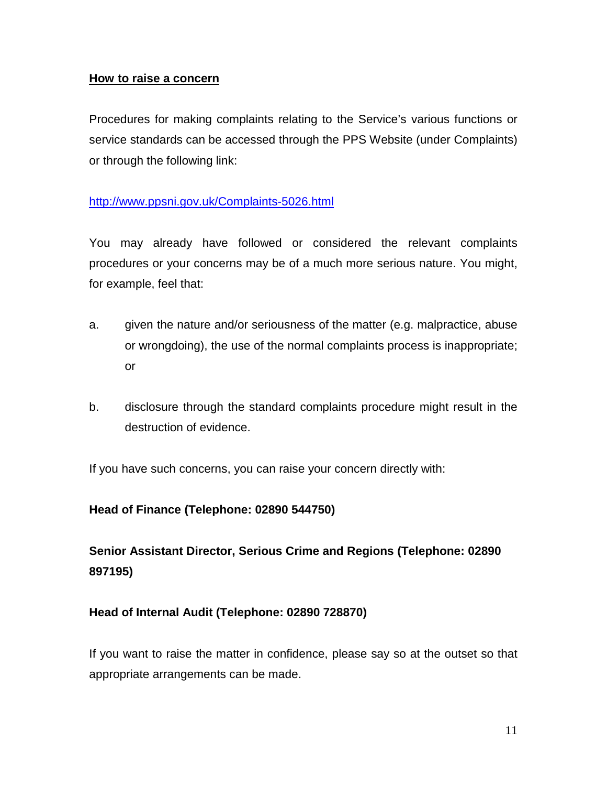### **How to raise a concern**

Procedures for making complaints relating to the Service's various functions or service standards can be accessed through the PPS Website (under Complaints) or through the following link:

## <http://www.ppsni.gov.uk/Complaints-5026.html>

You may already have followed or considered the relevant complaints procedures or your concerns may be of a much more serious nature. You might, for example, feel that:

- a. given the nature and/or seriousness of the matter (e.g. malpractice, abuse or wrongdoing), the use of the normal complaints process is inappropriate; or
- b. disclosure through the standard complaints procedure might result in the destruction of evidence.

If you have such concerns, you can raise your concern directly with:

## **Head of Finance (Telephone: 02890 544750)**

**Senior Assistant Director, Serious Crime and Regions (Telephone: 02890 897195)**

## **Head of Internal Audit (Telephone: 02890 728870)**

If you want to raise the matter in confidence, please say so at the outset so that appropriate arrangements can be made.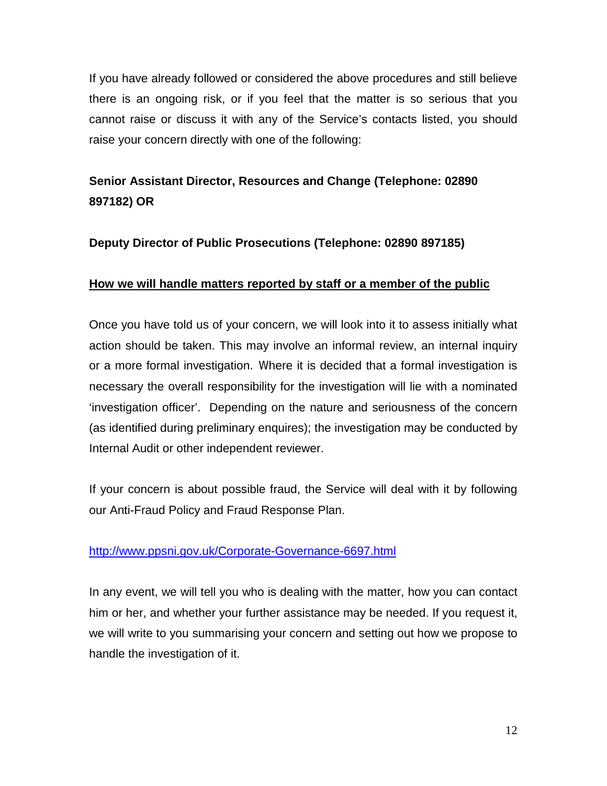If you have already followed or considered the above procedures and still believe there is an ongoing risk, or if you feel that the matter is so serious that you cannot raise or discuss it with any of the Service's contacts listed, you should raise your concern directly with one of the following:

## **Senior Assistant Director, Resources and Change (Telephone: 02890 897182) OR**

## **Deputy Director of Public Prosecutions (Telephone: 02890 897185)**

## **How we will handle matters reported by staff or a member of the public**

Once you have told us of your concern, we will look into it to assess initially what action should be taken. This may involve an informal review, an internal inquiry or a more formal investigation. Where it is decided that a formal investigation is necessary the overall responsibility for the investigation will lie with a nominated 'investigation officer'. Depending on the nature and seriousness of the concern (as identified during preliminary enquires); the investigation may be conducted by Internal Audit or other independent reviewer.

If your concern is about possible fraud, the Service will deal with it by following our Anti-Fraud Policy and Fraud Response Plan.

## <http://www.ppsni.gov.uk/Corporate-Governance-6697.html>

In any event, we will tell you who is dealing with the matter, how you can contact him or her, and whether your further assistance may be needed. If you request it, we will write to you summarising your concern and setting out how we propose to handle the investigation of it.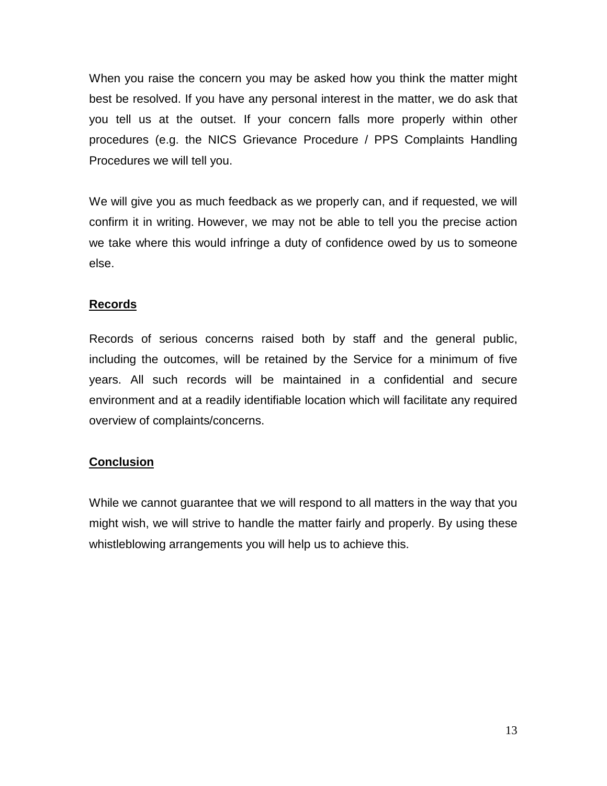When you raise the concern you may be asked how you think the matter might best be resolved. If you have any personal interest in the matter, we do ask that you tell us at the outset. If your concern falls more properly within other procedures (e.g. the NICS Grievance Procedure / PPS Complaints Handling Procedures we will tell you.

We will give you as much feedback as we properly can, and if requested, we will confirm it in writing. However, we may not be able to tell you the precise action we take where this would infringe a duty of confidence owed by us to someone else.

## **Records**

Records of serious concerns raised both by staff and the general public, including the outcomes, will be retained by the Service for a minimum of five years. All such records will be maintained in a confidential and secure environment and at a readily identifiable location which will facilitate any required overview of complaints/concerns.

## **Conclusion**

While we cannot guarantee that we will respond to all matters in the way that you might wish, we will strive to handle the matter fairly and properly. By using these whistleblowing arrangements you will help us to achieve this.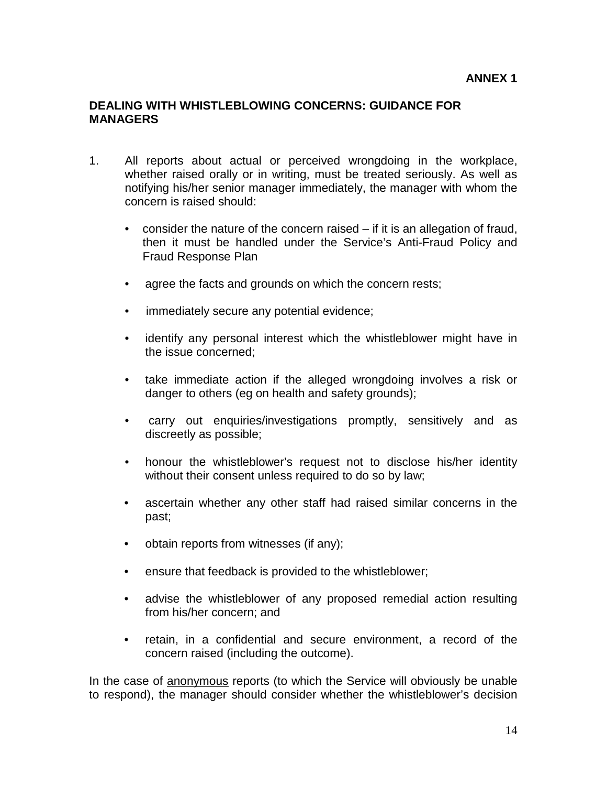#### **ANNEX 1**

#### **DEALING WITH WHISTLEBLOWING CONCERNS: GUIDANCE FOR MANAGERS**

- 1. All reports about actual or perceived wrongdoing in the workplace, whether raised orally or in writing, must be treated seriously. As well as notifying his/her senior manager immediately, the manager with whom the concern is raised should:
	- consider the nature of the concern raised if it is an allegation of fraud, then it must be handled under the Service's Anti-Fraud Policy and Fraud Response Plan
	- agree the facts and grounds on which the concern rests;
	- immediately secure any potential evidence;
	- identify any personal interest which the whistleblower might have in the issue concerned;
	- take immediate action if the alleged wrongdoing involves a risk or danger to others (eg on health and safety grounds);
	- carry out enquiries/investigations promptly, sensitively and as discreetly as possible;
	- honour the whistleblower's request not to disclose his/her identity without their consent unless required to do so by law;
	- ascertain whether any other staff had raised similar concerns in the past;
	- obtain reports from witnesses (if any);
	- ensure that feedback is provided to the whistleblower;
	- advise the whistleblower of any proposed remedial action resulting from his/her concern; and
	- retain, in a confidential and secure environment, a record of the concern raised (including the outcome).

In the case of anonymous reports (to which the Service will obviously be unable to respond), the manager should consider whether the whistleblower's decision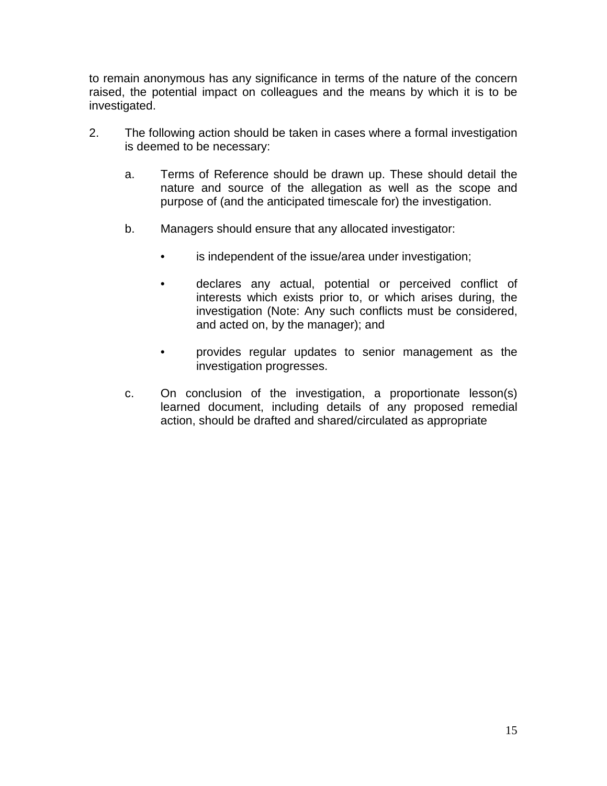to remain anonymous has any significance in terms of the nature of the concern raised, the potential impact on colleagues and the means by which it is to be investigated.

- 2. The following action should be taken in cases where a formal investigation is deemed to be necessary:
	- a. Terms of Reference should be drawn up. These should detail the nature and source of the allegation as well as the scope and purpose of (and the anticipated timescale for) the investigation.
	- b. Managers should ensure that any allocated investigator:
		- is independent of the issue/area under investigation;
		- declares any actual, potential or perceived conflict of interests which exists prior to, or which arises during, the investigation (Note: Any such conflicts must be considered, and acted on, by the manager); and
		- provides regular updates to senior management as the investigation progresses.
	- c. On conclusion of the investigation, a proportionate lesson(s) learned document, including details of any proposed remedial action, should be drafted and shared/circulated as appropriate